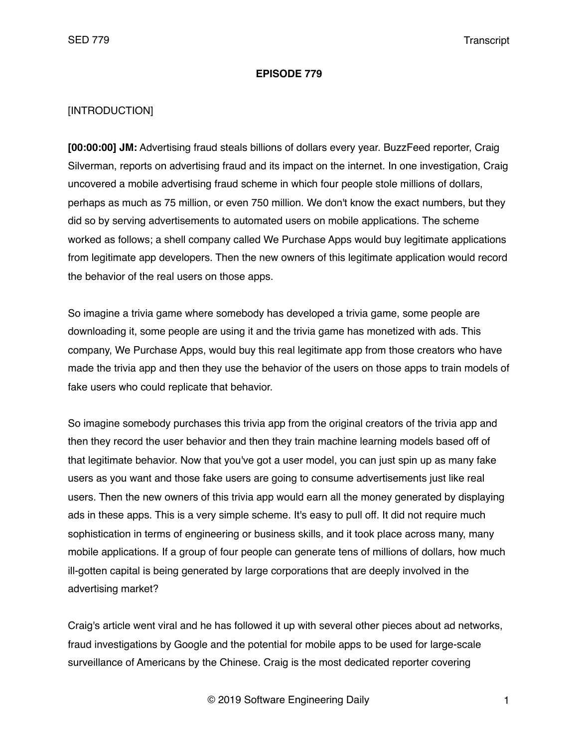#### **EPISODE 779**

#### [INTRODUCTION]

**[00:00:00] JM:** Advertising fraud steals billions of dollars every year. BuzzFeed reporter, Craig Silverman, reports on advertising fraud and its impact on the internet. In one investigation, Craig uncovered a mobile advertising fraud scheme in which four people stole millions of dollars, perhaps as much as 75 million, or even 750 million. We don't know the exact numbers, but they did so by serving advertisements to automated users on mobile applications. The scheme worked as follows; a shell company called We Purchase Apps would buy legitimate applications from legitimate app developers. Then the new owners of this legitimate application would record the behavior of the real users on those apps.

So imagine a trivia game where somebody has developed a trivia game, some people are downloading it, some people are using it and the trivia game has monetized with ads. This company, We Purchase Apps, would buy this real legitimate app from those creators who have made the trivia app and then they use the behavior of the users on those apps to train models of fake users who could replicate that behavior.

So imagine somebody purchases this trivia app from the original creators of the trivia app and then they record the user behavior and then they train machine learning models based off of that legitimate behavior. Now that you've got a user model, you can just spin up as many fake users as you want and those fake users are going to consume advertisements just like real users. Then the new owners of this trivia app would earn all the money generated by displaying ads in these apps. This is a very simple scheme. It's easy to pull off. It did not require much sophistication in terms of engineering or business skills, and it took place across many, many mobile applications. If a group of four people can generate tens of millions of dollars, how much ill-gotten capital is being generated by large corporations that are deeply involved in the advertising market?

Craig's article went viral and he has followed it up with several other pieces about ad networks, fraud investigations by Google and the potential for mobile apps to be used for large-scale surveillance of Americans by the Chinese. Craig is the most dedicated reporter covering

© 2019 Software Engineering Daily 1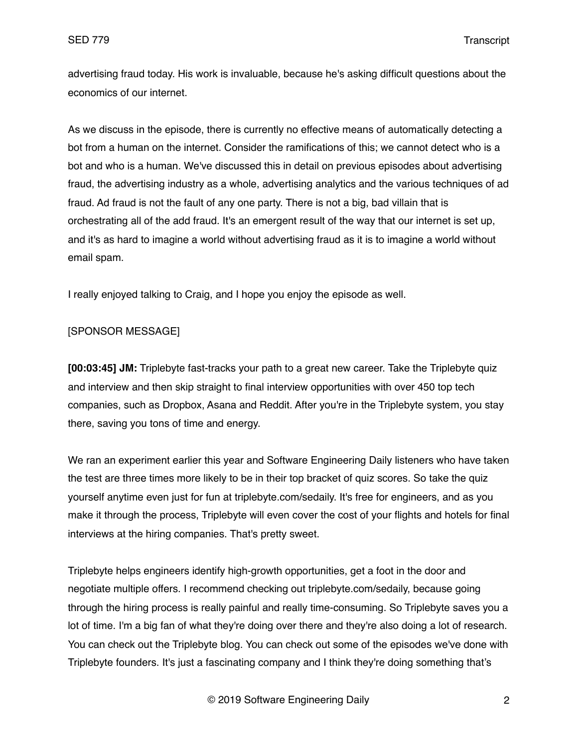advertising fraud today. His work is invaluable, because he's asking difficult questions about the economics of our internet.

As we discuss in the episode, there is currently no effective means of automatically detecting a bot from a human on the internet. Consider the ramifications of this; we cannot detect who is a bot and who is a human. We've discussed this in detail on previous episodes about advertising fraud, the advertising industry as a whole, advertising analytics and the various techniques of ad fraud. Ad fraud is not the fault of any one party. There is not a big, bad villain that is orchestrating all of the add fraud. It's an emergent result of the way that our internet is set up, and it's as hard to imagine a world without advertising fraud as it is to imagine a world without email spam.

I really enjoyed talking to Craig, and I hope you enjoy the episode as well.

## [SPONSOR MESSAGE]

**[00:03:45] JM:** Triplebyte fast-tracks your path to a great new career. Take the Triplebyte quiz and interview and then skip straight to final interview opportunities with over 450 top tech companies, such as Dropbox, Asana and Reddit. After you're in the Triplebyte system, you stay there, saving you tons of time and energy.

We ran an experiment earlier this year and Software Engineering Daily listeners who have taken the test are three times more likely to be in their top bracket of quiz scores. So take the quiz yourself anytime even just for fun at triplebyte.com/sedaily. It's free for engineers, and as you make it through the process, Triplebyte will even cover the cost of your flights and hotels for final interviews at the hiring companies. That's pretty sweet.

Triplebyte helps engineers identify high-growth opportunities, get a foot in the door and negotiate multiple offers. I recommend checking out triplebyte.com/sedaily, because going through the hiring process is really painful and really time-consuming. So Triplebyte saves you a lot of time. I'm a big fan of what they're doing over there and they're also doing a lot of research. You can check out the Triplebyte blog. You can check out some of the episodes we've done with Triplebyte founders. It's just a fascinating company and I think they're doing something that's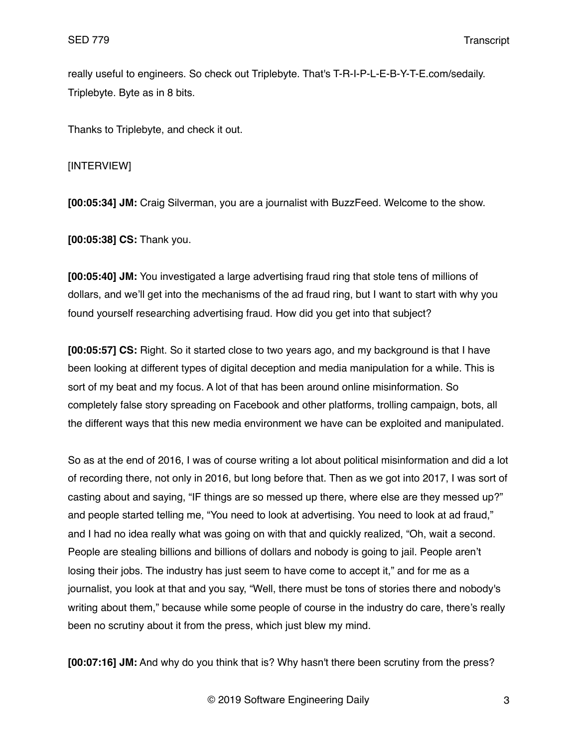really useful to engineers. So check out Triplebyte. That's T-R-I-P-L-E-B-Y-T-E.com/sedaily. Triplebyte. Byte as in 8 bits.

Thanks to Triplebyte, and check it out.

[INTERVIEW]

**[00:05:34] JM:** Craig Silverman, you are a journalist with BuzzFeed. Welcome to the show.

**[00:05:38] CS:** Thank you.

**[00:05:40] JM:** You investigated a large advertising fraud ring that stole tens of millions of dollars, and we'll get into the mechanisms of the ad fraud ring, but I want to start with why you found yourself researching advertising fraud. How did you get into that subject?

**[00:05:57] CS:** Right. So it started close to two years ago, and my background is that I have been looking at different types of digital deception and media manipulation for a while. This is sort of my beat and my focus. A lot of that has been around online misinformation. So completely false story spreading on Facebook and other platforms, trolling campaign, bots, all the different ways that this new media environment we have can be exploited and manipulated.

So as at the end of 2016, I was of course writing a lot about political misinformation and did a lot of recording there, not only in 2016, but long before that. Then as we got into 2017, I was sort of casting about and saying, "IF things are so messed up there, where else are they messed up?" and people started telling me, "You need to look at advertising. You need to look at ad fraud," and I had no idea really what was going on with that and quickly realized, "Oh, wait a second. People are stealing billions and billions of dollars and nobody is going to jail. People aren't losing their jobs. The industry has just seem to have come to accept it," and for me as a journalist, you look at that and you say, "Well, there must be tons of stories there and nobody's writing about them," because while some people of course in the industry do care, there's really been no scrutiny about it from the press, which just blew my mind.

**[00:07:16] JM:** And why do you think that is? Why hasn't there been scrutiny from the press?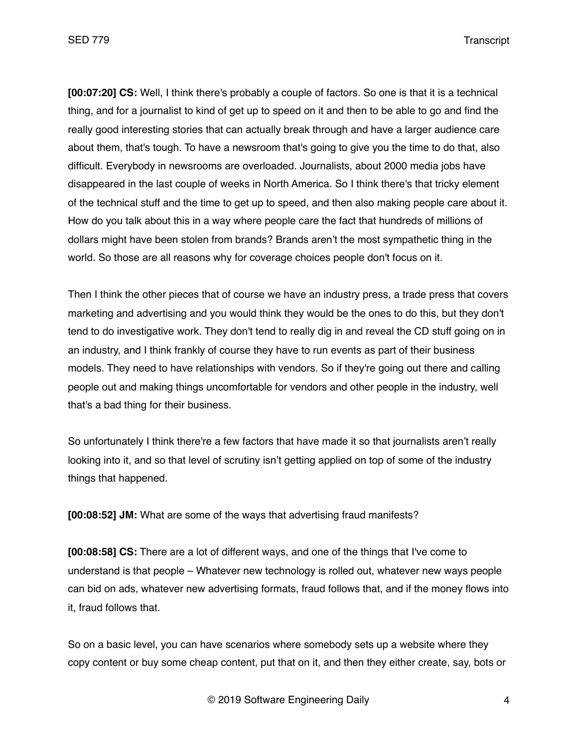**[00:07:20] CS:** Well, I think there's probably a couple of factors. So one is that it is a technical thing, and for a journalist to kind of get up to speed on it and then to be able to go and find the really good interesting stories that can actually break through and have a larger audience care about them, that's tough. To have a newsroom that's going to give you the time to do that, also difficult. Everybody in newsrooms are overloaded. Journalists, about 2000 media jobs have disappeared in the last couple of weeks in North America. So I think there's that tricky element of the technical stuff and the time to get up to speed, and then also making people care about it. How do you talk about this in a way where people care the fact that hundreds of millions of dollars might have been stolen from brands? Brands aren't the most sympathetic thing in the world. So those are all reasons why for coverage choices people don't focus on it.

Then I think the other pieces that of course we have an industry press, a trade press that covers marketing and advertising and you would think they would be the ones to do this, but they don't tend to do investigative work. They don't tend to really dig in and reveal the CD stuff going on in an industry, and I think frankly of course they have to run events as part of their business models. They need to have relationships with vendors. So if they're going out there and calling people out and making things uncomfortable for vendors and other people in the industry, well that's a bad thing for their business.

So unfortunately I think there're a few factors that have made it so that journalists aren't really looking into it, and so that level of scrutiny isn't getting applied on top of some of the industry things that happened.

**[00:08:52] JM:** What are some of the ways that advertising fraud manifests?

**[00:08:58] CS:** There are a lot of different ways, and one of the things that I've come to understand is that people – Whatever new technology is rolled out, whatever new ways people can bid on ads, whatever new advertising formats, fraud follows that, and if the money flows into it, fraud follows that.

So on a basic level, you can have scenarios where somebody sets up a website where they copy content or buy some cheap content, put that on it, and then they either create, say, bots or

© 2019 Software Engineering Daily 4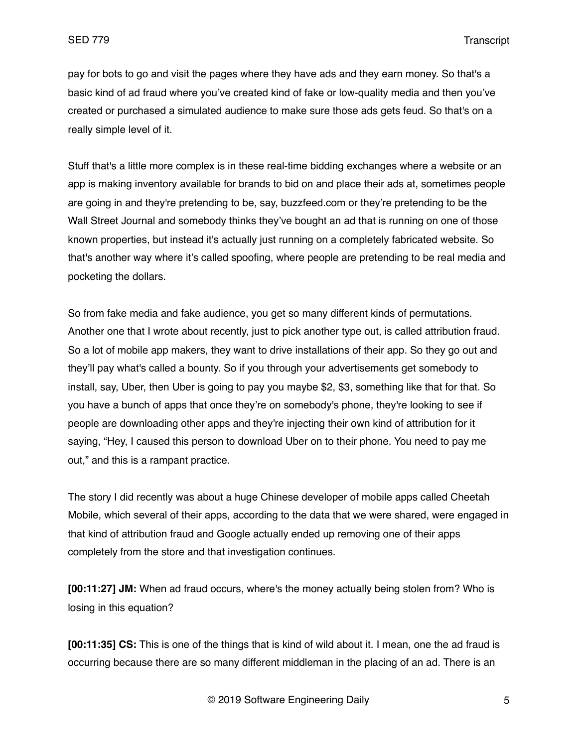pay for bots to go and visit the pages where they have ads and they earn money. So that's a basic kind of ad fraud where you've created kind of fake or low-quality media and then you've created or purchased a simulated audience to make sure those ads gets feud. So that's on a really simple level of it.

Stuff that's a little more complex is in these real-time bidding exchanges where a website or an app is making inventory available for brands to bid on and place their ads at, sometimes people are going in and they're pretending to be, say, buzzfeed.com or they're pretending to be the Wall Street Journal and somebody thinks they've bought an ad that is running on one of those known properties, but instead it's actually just running on a completely fabricated website. So that's another way where it's called spoofing, where people are pretending to be real media and pocketing the dollars.

So from fake media and fake audience, you get so many different kinds of permutations. Another one that I wrote about recently, just to pick another type out, is called attribution fraud. So a lot of mobile app makers, they want to drive installations of their app. So they go out and they'll pay what's called a bounty. So if you through your advertisements get somebody to install, say, Uber, then Uber is going to pay you maybe \$2, \$3, something like that for that. So you have a bunch of apps that once they're on somebody's phone, they're looking to see if people are downloading other apps and they're injecting their own kind of attribution for it saying, "Hey, I caused this person to download Uber on to their phone. You need to pay me out," and this is a rampant practice.

The story I did recently was about a huge Chinese developer of mobile apps called Cheetah Mobile, which several of their apps, according to the data that we were shared, were engaged in that kind of attribution fraud and Google actually ended up removing one of their apps completely from the store and that investigation continues.

**[00:11:27] JM:** When ad fraud occurs, where's the money actually being stolen from? Who is losing in this equation?

**[00:11:35] CS:** This is one of the things that is kind of wild about it. I mean, one the ad fraud is occurring because there are so many different middleman in the placing of an ad. There is an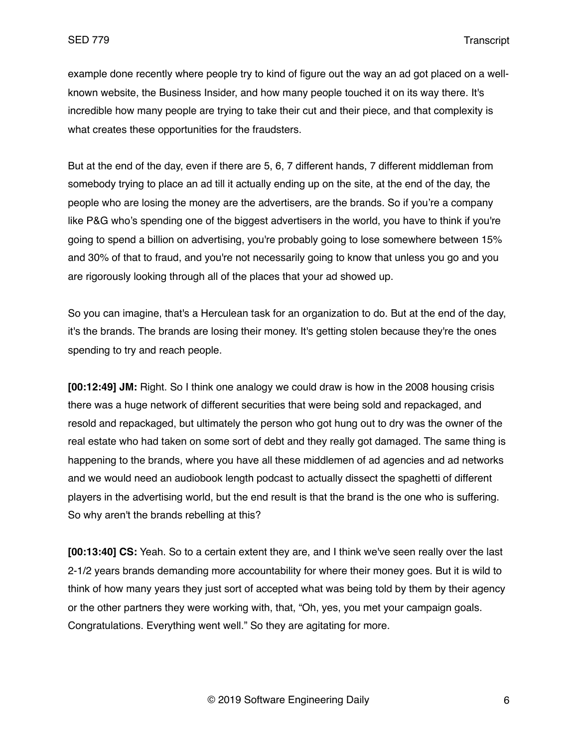example done recently where people try to kind of figure out the way an ad got placed on a wellknown website, the Business Insider, and how many people touched it on its way there. It's incredible how many people are trying to take their cut and their piece, and that complexity is what creates these opportunities for the fraudsters.

But at the end of the day, even if there are 5, 6, 7 different hands, 7 different middleman from somebody trying to place an ad till it actually ending up on the site, at the end of the day, the people who are losing the money are the advertisers, are the brands. So if you're a company like P&G who's spending one of the biggest advertisers in the world, you have to think if you're going to spend a billion on advertising, you're probably going to lose somewhere between 15% and 30% of that to fraud, and you're not necessarily going to know that unless you go and you are rigorously looking through all of the places that your ad showed up.

So you can imagine, that's a Herculean task for an organization to do. But at the end of the day, it's the brands. The brands are losing their money. It's getting stolen because they're the ones spending to try and reach people.

**[00:12:49] JM:** Right. So I think one analogy we could draw is how in the 2008 housing crisis there was a huge network of different securities that were being sold and repackaged, and resold and repackaged, but ultimately the person who got hung out to dry was the owner of the real estate who had taken on some sort of debt and they really got damaged. The same thing is happening to the brands, where you have all these middlemen of ad agencies and ad networks and we would need an audiobook length podcast to actually dissect the spaghetti of different players in the advertising world, but the end result is that the brand is the one who is suffering. So why aren't the brands rebelling at this?

**[00:13:40] CS:** Yeah. So to a certain extent they are, and I think we've seen really over the last 2-1/2 years brands demanding more accountability for where their money goes. But it is wild to think of how many years they just sort of accepted what was being told by them by their agency or the other partners they were working with, that, "Oh, yes, you met your campaign goals. Congratulations. Everything went well." So they are agitating for more.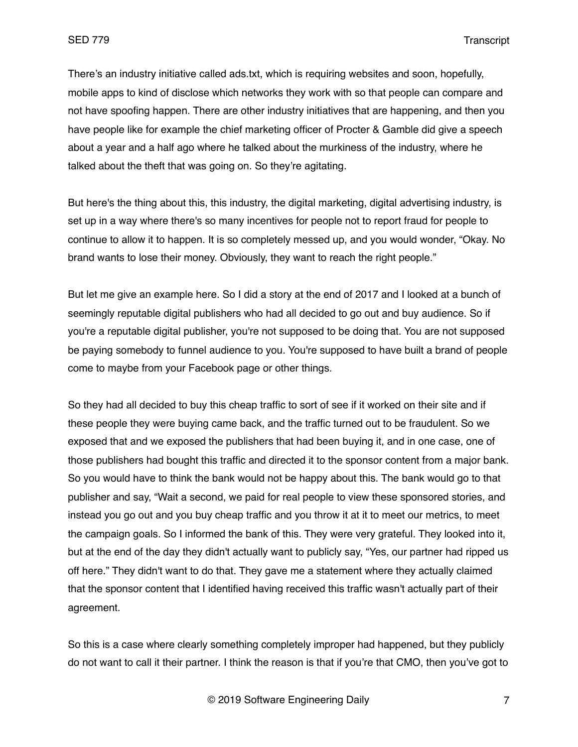There's an industry initiative called ads.txt, which is requiring websites and soon, hopefully, mobile apps to kind of disclose which networks they work with so that people can compare and not have spoofing happen. There are other industry initiatives that are happening, and then you have people like for example the chief marketing officer of Procter & Gamble did give a speech about a year and a half ago where he talked about the murkiness of the industry, where he talked about the theft that was going on. So they're agitating.

But here's the thing about this, this industry, the digital marketing, digital advertising industry, is set up in a way where there's so many incentives for people not to report fraud for people to continue to allow it to happen. It is so completely messed up, and you would wonder, "Okay. No brand wants to lose their money. Obviously, they want to reach the right people."

But let me give an example here. So I did a story at the end of 2017 and I looked at a bunch of seemingly reputable digital publishers who had all decided to go out and buy audience. So if you're a reputable digital publisher, you're not supposed to be doing that. You are not supposed be paying somebody to funnel audience to you. You're supposed to have built a brand of people come to maybe from your Facebook page or other things.

So they had all decided to buy this cheap traffic to sort of see if it worked on their site and if these people they were buying came back, and the traffic turned out to be fraudulent. So we exposed that and we exposed the publishers that had been buying it, and in one case, one of those publishers had bought this traffic and directed it to the sponsor content from a major bank. So you would have to think the bank would not be happy about this. The bank would go to that publisher and say, "Wait a second, we paid for real people to view these sponsored stories, and instead you go out and you buy cheap traffic and you throw it at it to meet our metrics, to meet the campaign goals. So I informed the bank of this. They were very grateful. They looked into it, but at the end of the day they didn't actually want to publicly say, "Yes, our partner had ripped us off here." They didn't want to do that. They gave me a statement where they actually claimed that the sponsor content that I identified having received this traffic wasn't actually part of their agreement.

So this is a case where clearly something completely improper had happened, but they publicly do not want to call it their partner. I think the reason is that if you're that CMO, then you've got to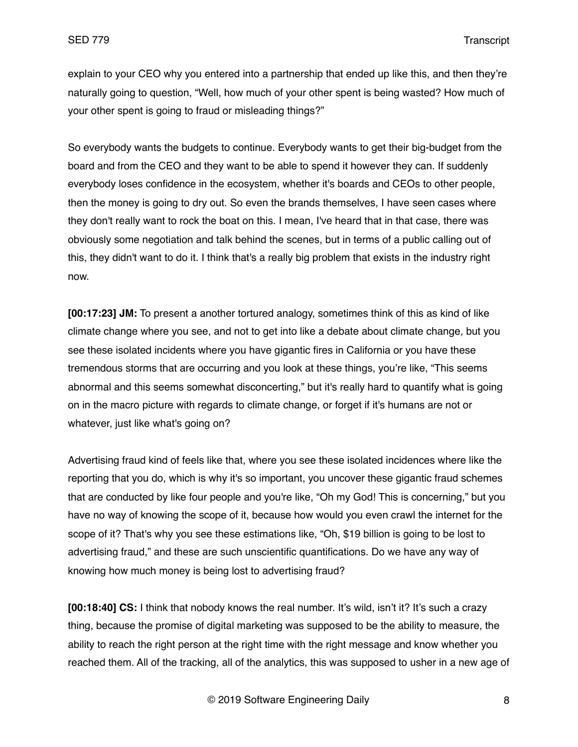explain to your CEO why you entered into a partnership that ended up like this, and then they're naturally going to question, "Well, how much of your other spent is being wasted? How much of your other spent is going to fraud or misleading things?"

So everybody wants the budgets to continue. Everybody wants to get their big-budget from the board and from the CEO and they want to be able to spend it however they can. If suddenly everybody loses confidence in the ecosystem, whether it's boards and CEOs to other people, then the money is going to dry out. So even the brands themselves, I have seen cases where they don't really want to rock the boat on this. I mean, I've heard that in that case, there was obviously some negotiation and talk behind the scenes, but in terms of a public calling out of this, they didn't want to do it. I think that's a really big problem that exists in the industry right now.

**[00:17:23] JM:** To present a another tortured analogy, sometimes think of this as kind of like climate change where you see, and not to get into like a debate about climate change, but you see these isolated incidents where you have gigantic fires in California or you have these tremendous storms that are occurring and you look at these things, you're like, "This seems abnormal and this seems somewhat disconcerting," but it's really hard to quantify what is going on in the macro picture with regards to climate change, or forget if it's humans are not or whatever, just like what's going on?

Advertising fraud kind of feels like that, where you see these isolated incidences where like the reporting that you do, which is why it's so important, you uncover these gigantic fraud schemes that are conducted by like four people and you're like, "Oh my God! This is concerning," but you have no way of knowing the scope of it, because how would you even crawl the internet for the scope of it? That's why you see these estimations like, "Oh, \$19 billion is going to be lost to advertising fraud," and these are such unscientific quantifications. Do we have any way of knowing how much money is being lost to advertising fraud?

**[00:18:40] CS:** I think that nobody knows the real number. It's wild, isn't it? It's such a crazy thing, because the promise of digital marketing was supposed to be the ability to measure, the ability to reach the right person at the right time with the right message and know whether you reached them. All of the tracking, all of the analytics, this was supposed to usher in a new age of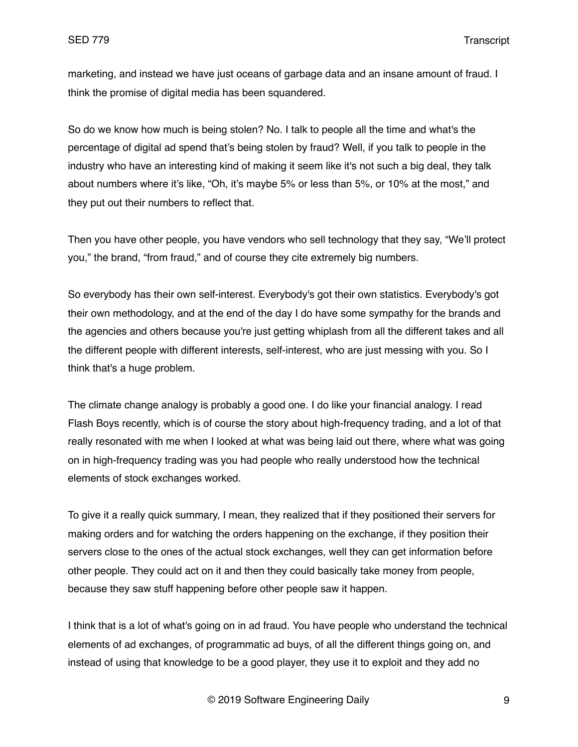marketing, and instead we have just oceans of garbage data and an insane amount of fraud. I think the promise of digital media has been squandered.

So do we know how much is being stolen? No. I talk to people all the time and what's the percentage of digital ad spend that's being stolen by fraud? Well, if you talk to people in the industry who have an interesting kind of making it seem like it's not such a big deal, they talk about numbers where it's like, "Oh, it's maybe 5% or less than 5%, or 10% at the most," and they put out their numbers to reflect that.

Then you have other people, you have vendors who sell technology that they say, "We'll protect you," the brand, "from fraud," and of course they cite extremely big numbers.

So everybody has their own self-interest. Everybody's got their own statistics. Everybody's got their own methodology, and at the end of the day I do have some sympathy for the brands and the agencies and others because you're just getting whiplash from all the different takes and all the different people with different interests, self-interest, who are just messing with you. So I think that's a huge problem.

The climate change analogy is probably a good one. I do like your financial analogy. I read Flash Boys recently, which is of course the story about high-frequency trading, and a lot of that really resonated with me when I looked at what was being laid out there, where what was going on in high-frequency trading was you had people who really understood how the technical elements of stock exchanges worked.

To give it a really quick summary, I mean, they realized that if they positioned their servers for making orders and for watching the orders happening on the exchange, if they position their servers close to the ones of the actual stock exchanges, well they can get information before other people. They could act on it and then they could basically take money from people, because they saw stuff happening before other people saw it happen.

I think that is a lot of what's going on in ad fraud. You have people who understand the technical elements of ad exchanges, of programmatic ad buys, of all the different things going on, and instead of using that knowledge to be a good player, they use it to exploit and they add no

© 2019 Software Engineering Daily 9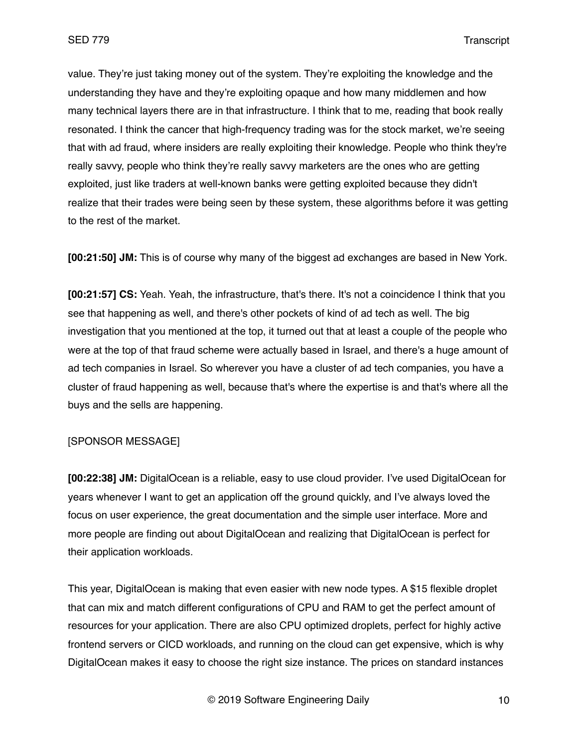value. They're just taking money out of the system. They're exploiting the knowledge and the understanding they have and they're exploiting opaque and how many middlemen and how many technical layers there are in that infrastructure. I think that to me, reading that book really resonated. I think the cancer that high-frequency trading was for the stock market, we're seeing that with ad fraud, where insiders are really exploiting their knowledge. People who think they're really savvy, people who think they're really savvy marketers are the ones who are getting exploited, just like traders at well-known banks were getting exploited because they didn't realize that their trades were being seen by these system, these algorithms before it was getting to the rest of the market.

**[00:21:50] JM:** This is of course why many of the biggest ad exchanges are based in New York.

**[00:21:57] CS:** Yeah. Yeah, the infrastructure, that's there. It's not a coincidence I think that you see that happening as well, and there's other pockets of kind of ad tech as well. The big investigation that you mentioned at the top, it turned out that at least a couple of the people who were at the top of that fraud scheme were actually based in Israel, and there's a huge amount of ad tech companies in Israel. So wherever you have a cluster of ad tech companies, you have a cluster of fraud happening as well, because that's where the expertise is and that's where all the buys and the sells are happening.

## [SPONSOR MESSAGE]

**[00:22:38] JM:** DigitalOcean is a reliable, easy to use cloud provider. I've used DigitalOcean for years whenever I want to get an application off the ground quickly, and I've always loved the focus on user experience, the great documentation and the simple user interface. More and more people are finding out about DigitalOcean and realizing that DigitalOcean is perfect for their application workloads.

This year, DigitalOcean is making that even easier with new node types. A \$15 flexible droplet that can mix and match different configurations of CPU and RAM to get the perfect amount of resources for your application. There are also CPU optimized droplets, perfect for highly active frontend servers or CICD workloads, and running on the cloud can get expensive, which is why DigitalOcean makes it easy to choose the right size instance. The prices on standard instances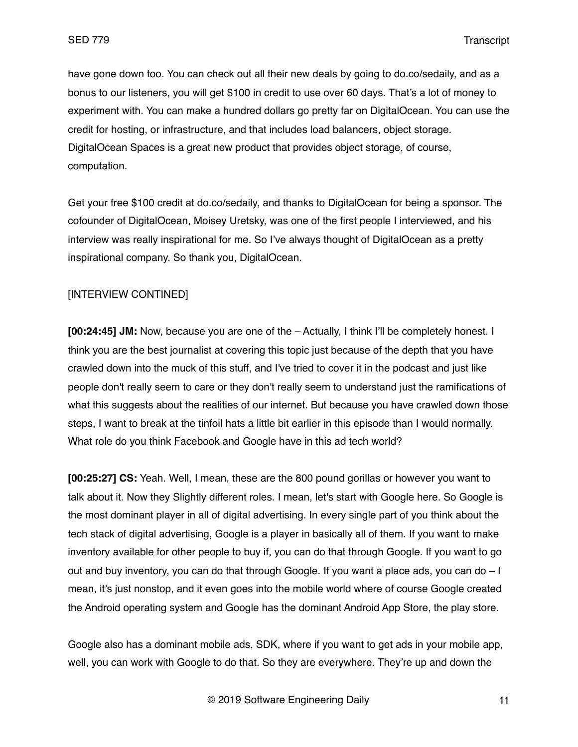have gone down too. You can check out all their new deals by going to do.co/sedaily, and as a bonus to our listeners, you will get \$100 in credit to use over 60 days. That's a lot of money to experiment with. You can make a hundred dollars go pretty far on DigitalOcean. You can use the credit for hosting, or infrastructure, and that includes load balancers, object storage. DigitalOcean Spaces is a great new product that provides object storage, of course, computation.

Get your free \$100 credit at do.co/sedaily, and thanks to DigitalOcean for being a sponsor. The cofounder of DigitalOcean, Moisey Uretsky, was one of the first people I interviewed, and his interview was really inspirational for me. So I've always thought of DigitalOcean as a pretty inspirational company. So thank you, DigitalOcean.

## [INTERVIEW CONTINED]

**[00:24:45] JM:** Now, because you are one of the – Actually, I think I'll be completely honest. I think you are the best journalist at covering this topic just because of the depth that you have crawled down into the muck of this stuff, and I've tried to cover it in the podcast and just like people don't really seem to care or they don't really seem to understand just the ramifications of what this suggests about the realities of our internet. But because you have crawled down those steps, I want to break at the tinfoil hats a little bit earlier in this episode than I would normally. What role do you think Facebook and Google have in this ad tech world?

**[00:25:27] CS:** Yeah. Well, I mean, these are the 800 pound gorillas or however you want to talk about it. Now they Slightly different roles. I mean, let's start with Google here. So Google is the most dominant player in all of digital advertising. In every single part of you think about the tech stack of digital advertising, Google is a player in basically all of them. If you want to make inventory available for other people to buy if, you can do that through Google. If you want to go out and buy inventory, you can do that through Google. If you want a place ads, you can do – I mean, it's just nonstop, and it even goes into the mobile world where of course Google created the Android operating system and Google has the dominant Android App Store, the play store.

Google also has a dominant mobile ads, SDK, where if you want to get ads in your mobile app, well, you can work with Google to do that. So they are everywhere. They're up and down the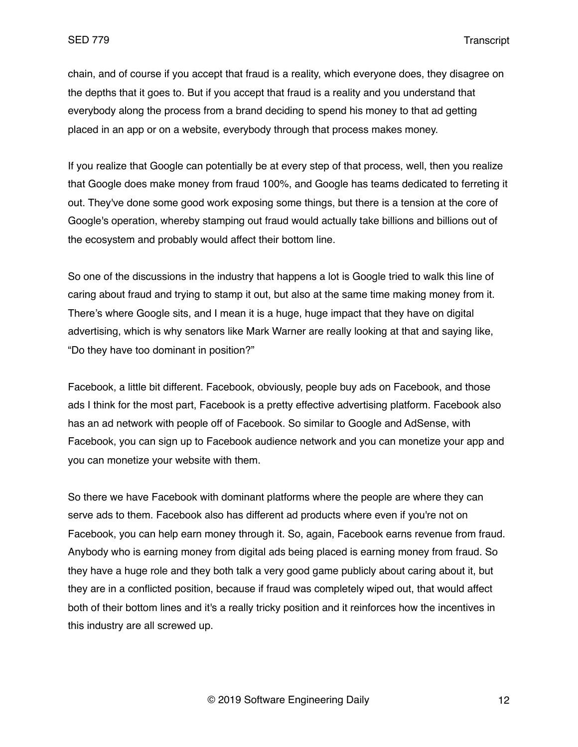chain, and of course if you accept that fraud is a reality, which everyone does, they disagree on the depths that it goes to. But if you accept that fraud is a reality and you understand that everybody along the process from a brand deciding to spend his money to that ad getting placed in an app or on a website, everybody through that process makes money.

If you realize that Google can potentially be at every step of that process, well, then you realize that Google does make money from fraud 100%, and Google has teams dedicated to ferreting it out. They've done some good work exposing some things, but there is a tension at the core of Google's operation, whereby stamping out fraud would actually take billions and billions out of the ecosystem and probably would affect their bottom line.

So one of the discussions in the industry that happens a lot is Google tried to walk this line of caring about fraud and trying to stamp it out, but also at the same time making money from it. There's where Google sits, and I mean it is a huge, huge impact that they have on digital advertising, which is why senators like Mark Warner are really looking at that and saying like, "Do they have too dominant in position?"

Facebook, a little bit different. Facebook, obviously, people buy ads on Facebook, and those ads I think for the most part, Facebook is a pretty effective advertising platform. Facebook also has an ad network with people off of Facebook. So similar to Google and AdSense, with Facebook, you can sign up to Facebook audience network and you can monetize your app and you can monetize your website with them.

So there we have Facebook with dominant platforms where the people are where they can serve ads to them. Facebook also has different ad products where even if you're not on Facebook, you can help earn money through it. So, again, Facebook earns revenue from fraud. Anybody who is earning money from digital ads being placed is earning money from fraud. So they have a huge role and they both talk a very good game publicly about caring about it, but they are in a conflicted position, because if fraud was completely wiped out, that would affect both of their bottom lines and it's a really tricky position and it reinforces how the incentives in this industry are all screwed up.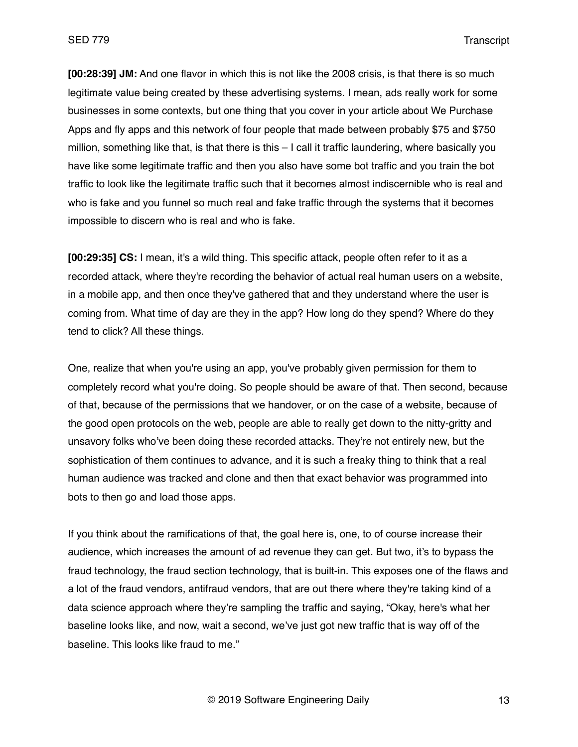**[00:28:39] JM:** And one flavor in which this is not like the 2008 crisis, is that there is so much legitimate value being created by these advertising systems. I mean, ads really work for some businesses in some contexts, but one thing that you cover in your article about We Purchase Apps and fly apps and this network of four people that made between probably \$75 and \$750 million, something like that, is that there is this – I call it traffic laundering, where basically you have like some legitimate traffic and then you also have some bot traffic and you train the bot traffic to look like the legitimate traffic such that it becomes almost indiscernible who is real and who is fake and you funnel so much real and fake traffic through the systems that it becomes impossible to discern who is real and who is fake.

**[00:29:35] CS:** I mean, it's a wild thing. This specific attack, people often refer to it as a recorded attack, where they're recording the behavior of actual real human users on a website, in a mobile app, and then once they've gathered that and they understand where the user is coming from. What time of day are they in the app? How long do they spend? Where do they tend to click? All these things.

One, realize that when you're using an app, you've probably given permission for them to completely record what you're doing. So people should be aware of that. Then second, because of that, because of the permissions that we handover, or on the case of a website, because of the good open protocols on the web, people are able to really get down to the nitty-gritty and unsavory folks who've been doing these recorded attacks. They're not entirely new, but the sophistication of them continues to advance, and it is such a freaky thing to think that a real human audience was tracked and clone and then that exact behavior was programmed into bots to then go and load those apps.

If you think about the ramifications of that, the goal here is, one, to of course increase their audience, which increases the amount of ad revenue they can get. But two, it's to bypass the fraud technology, the fraud section technology, that is built-in. This exposes one of the flaws and a lot of the fraud vendors, antifraud vendors, that are out there where they're taking kind of a data science approach where they're sampling the traffic and saying, "Okay, here's what her baseline looks like, and now, wait a second, we've just got new traffic that is way off of the baseline. This looks like fraud to me."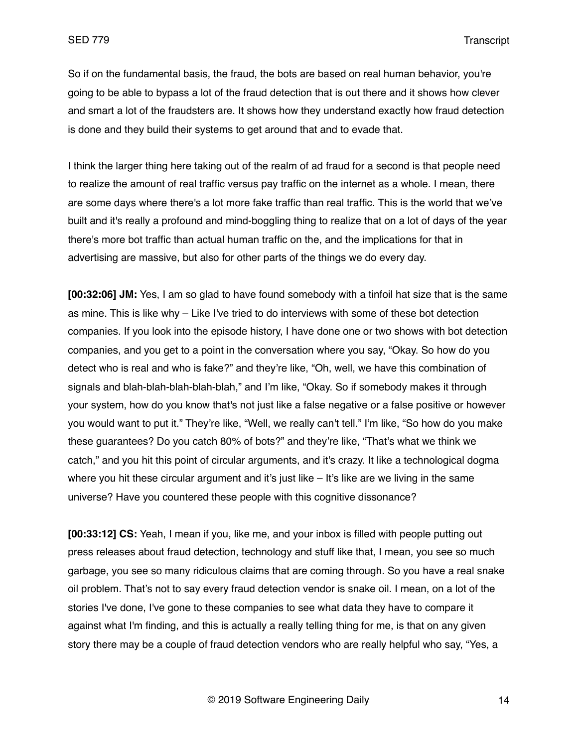So if on the fundamental basis, the fraud, the bots are based on real human behavior, you're going to be able to bypass a lot of the fraud detection that is out there and it shows how clever and smart a lot of the fraudsters are. It shows how they understand exactly how fraud detection is done and they build their systems to get around that and to evade that.

I think the larger thing here taking out of the realm of ad fraud for a second is that people need to realize the amount of real traffic versus pay traffic on the internet as a whole. I mean, there are some days where there's a lot more fake traffic than real traffic. This is the world that we've built and it's really a profound and mind-boggling thing to realize that on a lot of days of the year there's more bot traffic than actual human traffic on the, and the implications for that in advertising are massive, but also for other parts of the things we do every day.

**[00:32:06] JM:** Yes, I am so glad to have found somebody with a tinfoil hat size that is the same as mine. This is like why – Like I've tried to do interviews with some of these bot detection companies. If you look into the episode history, I have done one or two shows with bot detection companies, and you get to a point in the conversation where you say, "Okay. So how do you detect who is real and who is fake?" and they're like, "Oh, well, we have this combination of signals and blah-blah-blah-blah-blah," and I'm like, "Okay. So if somebody makes it through your system, how do you know that's not just like a false negative or a false positive or however you would want to put it." They're like, "Well, we really can't tell." I'm like, "So how do you make these guarantees? Do you catch 80% of bots?" and they're like, "That's what we think we catch," and you hit this point of circular arguments, and it's crazy. It like a technological dogma where you hit these circular argument and it's just like – It's like are we living in the same universe? Have you countered these people with this cognitive dissonance?

**[00:33:12] CS:** Yeah, I mean if you, like me, and your inbox is filled with people putting out press releases about fraud detection, technology and stuff like that, I mean, you see so much garbage, you see so many ridiculous claims that are coming through. So you have a real snake oil problem. That's not to say every fraud detection vendor is snake oil. I mean, on a lot of the stories I've done, I've gone to these companies to see what data they have to compare it against what I'm finding, and this is actually a really telling thing for me, is that on any given story there may be a couple of fraud detection vendors who are really helpful who say, "Yes, a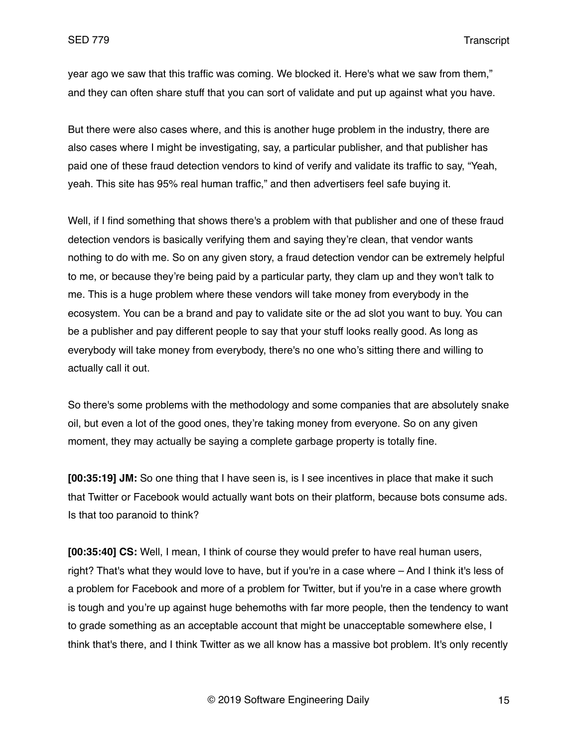year ago we saw that this traffic was coming. We blocked it. Here's what we saw from them," and they can often share stuff that you can sort of validate and put up against what you have.

But there were also cases where, and this is another huge problem in the industry, there are also cases where I might be investigating, say, a particular publisher, and that publisher has paid one of these fraud detection vendors to kind of verify and validate its traffic to say, "Yeah, yeah. This site has 95% real human traffic," and then advertisers feel safe buying it.

Well, if I find something that shows there's a problem with that publisher and one of these fraud detection vendors is basically verifying them and saying they're clean, that vendor wants nothing to do with me. So on any given story, a fraud detection vendor can be extremely helpful to me, or because they're being paid by a particular party, they clam up and they won't talk to me. This is a huge problem where these vendors will take money from everybody in the ecosystem. You can be a brand and pay to validate site or the ad slot you want to buy. You can be a publisher and pay different people to say that your stuff looks really good. As long as everybody will take money from everybody, there's no one who's sitting there and willing to actually call it out.

So there's some problems with the methodology and some companies that are absolutely snake oil, but even a lot of the good ones, they're taking money from everyone. So on any given moment, they may actually be saying a complete garbage property is totally fine.

**[00:35:19] JM:** So one thing that I have seen is, is I see incentives in place that make it such that Twitter or Facebook would actually want bots on their platform, because bots consume ads. Is that too paranoid to think?

**[00:35:40] CS:** Well, I mean, I think of course they would prefer to have real human users, right? That's what they would love to have, but if you're in a case where – And I think it's less of a problem for Facebook and more of a problem for Twitter, but if you're in a case where growth is tough and you're up against huge behemoths with far more people, then the tendency to want to grade something as an acceptable account that might be unacceptable somewhere else, I think that's there, and I think Twitter as we all know has a massive bot problem. It's only recently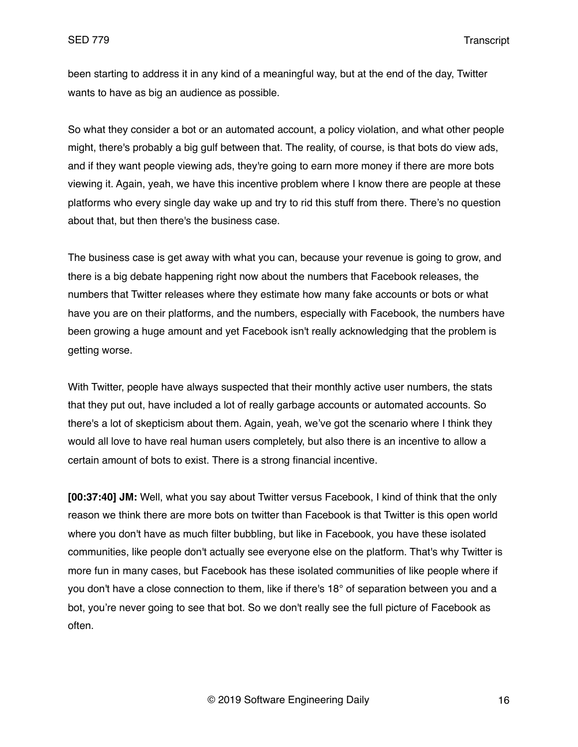been starting to address it in any kind of a meaningful way, but at the end of the day, Twitter wants to have as big an audience as possible.

So what they consider a bot or an automated account, a policy violation, and what other people might, there's probably a big gulf between that. The reality, of course, is that bots do view ads, and if they want people viewing ads, they're going to earn more money if there are more bots viewing it. Again, yeah, we have this incentive problem where I know there are people at these platforms who every single day wake up and try to rid this stuff from there. There's no question about that, but then there's the business case.

The business case is get away with what you can, because your revenue is going to grow, and there is a big debate happening right now about the numbers that Facebook releases, the numbers that Twitter releases where they estimate how many fake accounts or bots or what have you are on their platforms, and the numbers, especially with Facebook, the numbers have been growing a huge amount and yet Facebook isn't really acknowledging that the problem is getting worse.

With Twitter, people have always suspected that their monthly active user numbers, the stats that they put out, have included a lot of really garbage accounts or automated accounts. So there's a lot of skepticism about them. Again, yeah, we've got the scenario where I think they would all love to have real human users completely, but also there is an incentive to allow a certain amount of bots to exist. There is a strong financial incentive.

**[00:37:40] JM:** Well, what you say about Twitter versus Facebook, I kind of think that the only reason we think there are more bots on twitter than Facebook is that Twitter is this open world where you don't have as much filter bubbling, but like in Facebook, you have these isolated communities, like people don't actually see everyone else on the platform. That's why Twitter is more fun in many cases, but Facebook has these isolated communities of like people where if you don't have a close connection to them, like if there's 18° of separation between you and a bot, you're never going to see that bot. So we don't really see the full picture of Facebook as often.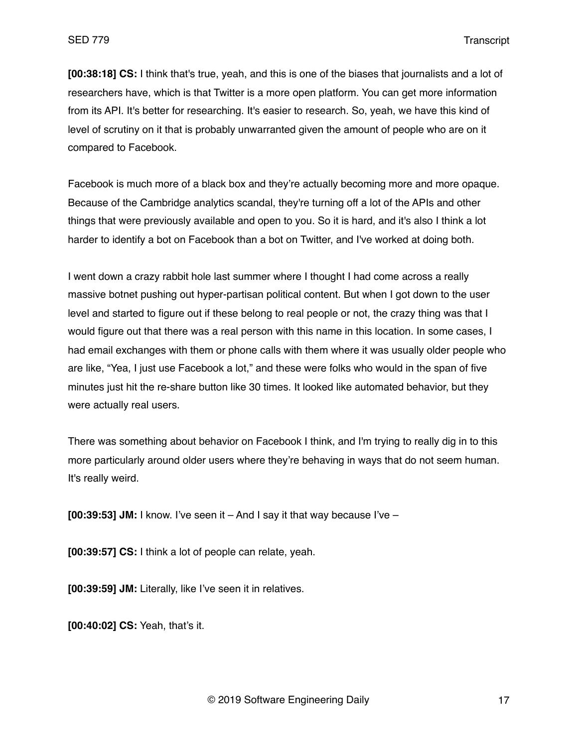**[00:38:18] CS:** I think that's true, yeah, and this is one of the biases that journalists and a lot of researchers have, which is that Twitter is a more open platform. You can get more information from its API. It's better for researching. It's easier to research. So, yeah, we have this kind of level of scrutiny on it that is probably unwarranted given the amount of people who are on it compared to Facebook.

Facebook is much more of a black box and they're actually becoming more and more opaque. Because of the Cambridge analytics scandal, they're turning off a lot of the APIs and other things that were previously available and open to you. So it is hard, and it's also I think a lot harder to identify a bot on Facebook than a bot on Twitter, and I've worked at doing both.

I went down a crazy rabbit hole last summer where I thought I had come across a really massive botnet pushing out hyper-partisan political content. But when I got down to the user level and started to figure out if these belong to real people or not, the crazy thing was that I would figure out that there was a real person with this name in this location. In some cases, I had email exchanges with them or phone calls with them where it was usually older people who are like, "Yea, I just use Facebook a lot," and these were folks who would in the span of five minutes just hit the re-share button like 30 times. It looked like automated behavior, but they were actually real users.

There was something about behavior on Facebook I think, and I'm trying to really dig in to this more particularly around older users where they're behaving in ways that do not seem human. It's really weird.

**[00:39:53] JM:** I know. I've seen it – And I say it that way because I've –

**[00:39:57] CS:** I think a lot of people can relate, yeah.

**[00:39:59] JM:** Literally, like I've seen it in relatives.

**[00:40:02] CS:** Yeah, that's it.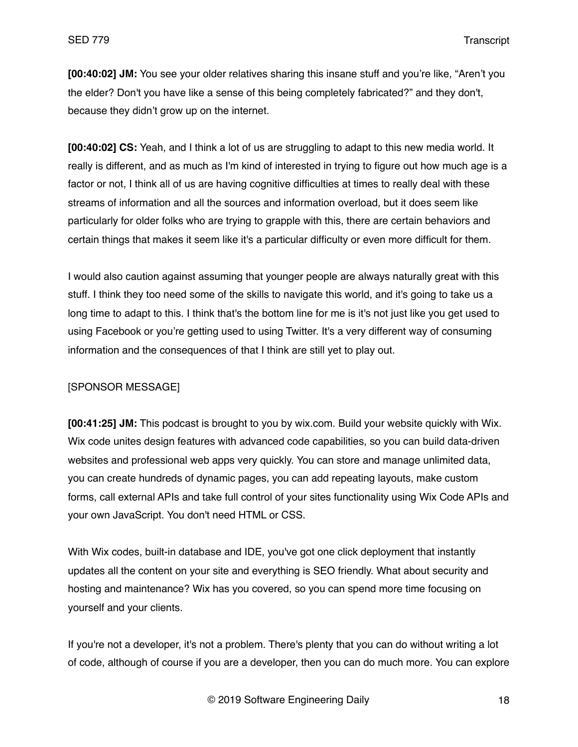**[00:40:02] JM:** You see your older relatives sharing this insane stuff and you're like, "Aren't you the elder? Don't you have like a sense of this being completely fabricated?" and they don't, because they didn't grow up on the internet.

**[00:40:02] CS:** Yeah, and I think a lot of us are struggling to adapt to this new media world. It really is different, and as much as I'm kind of interested in trying to figure out how much age is a factor or not, I think all of us are having cognitive difficulties at times to really deal with these streams of information and all the sources and information overload, but it does seem like particularly for older folks who are trying to grapple with this, there are certain behaviors and certain things that makes it seem like it's a particular difficulty or even more difficult for them.

I would also caution against assuming that younger people are always naturally great with this stuff. I think they too need some of the skills to navigate this world, and it's going to take us a long time to adapt to this. I think that's the bottom line for me is it's not just like you get used to using Facebook or you're getting used to using Twitter. It's a very different way of consuming information and the consequences of that I think are still yet to play out.

## [SPONSOR MESSAGE]

**[00:41:25] JM:** This podcast is brought to you by wix.com. Build your website quickly with Wix. Wix code unites design features with advanced code capabilities, so you can build data-driven websites and professional web apps very quickly. You can store and manage unlimited data, you can create hundreds of dynamic pages, you can add repeating layouts, make custom forms, call external APIs and take full control of your sites functionality using Wix Code APIs and your own JavaScript. You don't need HTML or CSS.

With Wix codes, built-in database and IDE, you've got one click deployment that instantly updates all the content on your site and everything is SEO friendly. What about security and hosting and maintenance? Wix has you covered, so you can spend more time focusing on yourself and your clients.

If you're not a developer, it's not a problem. There's plenty that you can do without writing a lot of code, although of course if you are a developer, then you can do much more. You can explore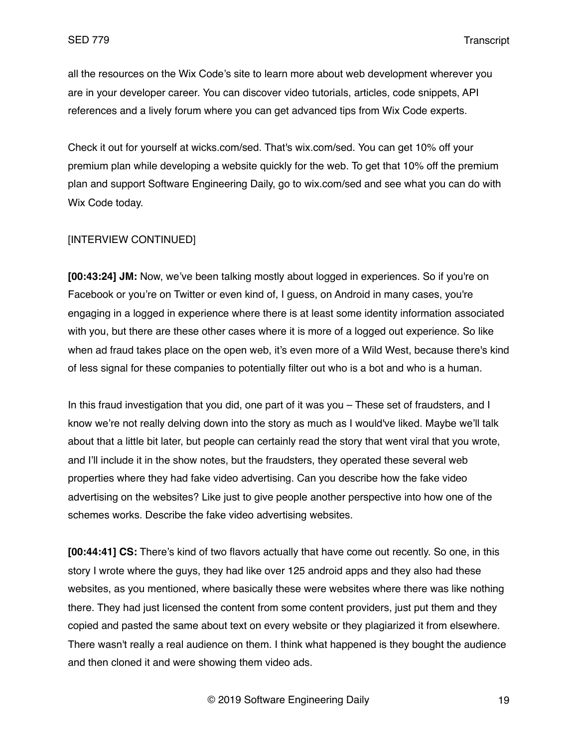all the resources on the Wix Code's site to learn more about web development wherever you are in your developer career. You can discover video tutorials, articles, code snippets, API references and a lively forum where you can get advanced tips from Wix Code experts.

Check it out for yourself at wicks.com/sed. That's wix.com/sed. You can get 10% off your premium plan while developing a website quickly for the web. To get that 10% off the premium plan and support Software Engineering Daily, go to wix.com/sed and see what you can do with Wix Code today.

## [INTERVIEW CONTINUED]

**[00:43:24] JM:** Now, we've been talking mostly about logged in experiences. So if you're on Facebook or you're on Twitter or even kind of, I guess, on Android in many cases, you're engaging in a logged in experience where there is at least some identity information associated with you, but there are these other cases where it is more of a logged out experience. So like when ad fraud takes place on the open web, it's even more of a Wild West, because there's kind of less signal for these companies to potentially filter out who is a bot and who is a human.

In this fraud investigation that you did, one part of it was you – These set of fraudsters, and I know we're not really delving down into the story as much as I would've liked. Maybe we'll talk about that a little bit later, but people can certainly read the story that went viral that you wrote, and I'll include it in the show notes, but the fraudsters, they operated these several web properties where they had fake video advertising. Can you describe how the fake video advertising on the websites? Like just to give people another perspective into how one of the schemes works. Describe the fake video advertising websites.

**[00:44:41] CS:** There's kind of two flavors actually that have come out recently. So one, in this story I wrote where the guys, they had like over 125 android apps and they also had these websites, as you mentioned, where basically these were websites where there was like nothing there. They had just licensed the content from some content providers, just put them and they copied and pasted the same about text on every website or they plagiarized it from elsewhere. There wasn't really a real audience on them. I think what happened is they bought the audience and then cloned it and were showing them video ads.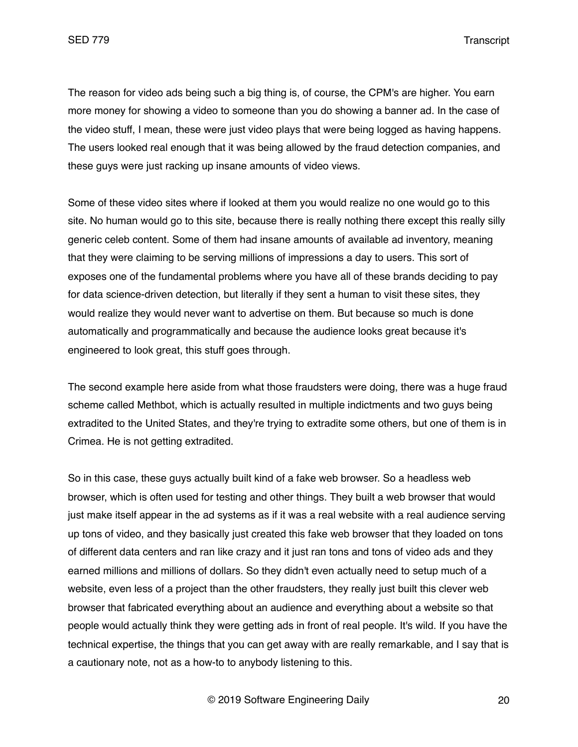The reason for video ads being such a big thing is, of course, the CPM's are higher. You earn more money for showing a video to someone than you do showing a banner ad. In the case of the video stuff, I mean, these were just video plays that were being logged as having happens. The users looked real enough that it was being allowed by the fraud detection companies, and these guys were just racking up insane amounts of video views.

Some of these video sites where if looked at them you would realize no one would go to this site. No human would go to this site, because there is really nothing there except this really silly generic celeb content. Some of them had insane amounts of available ad inventory, meaning that they were claiming to be serving millions of impressions a day to users. This sort of exposes one of the fundamental problems where you have all of these brands deciding to pay for data science-driven detection, but literally if they sent a human to visit these sites, they would realize they would never want to advertise on them. But because so much is done automatically and programmatically and because the audience looks great because it's engineered to look great, this stuff goes through.

The second example here aside from what those fraudsters were doing, there was a huge fraud scheme called Methbot, which is actually resulted in multiple indictments and two guys being extradited to the United States, and they're trying to extradite some others, but one of them is in Crimea. He is not getting extradited.

So in this case, these guys actually built kind of a fake web browser. So a headless web browser, which is often used for testing and other things. They built a web browser that would just make itself appear in the ad systems as if it was a real website with a real audience serving up tons of video, and they basically just created this fake web browser that they loaded on tons of different data centers and ran like crazy and it just ran tons and tons of video ads and they earned millions and millions of dollars. So they didn't even actually need to setup much of a website, even less of a project than the other fraudsters, they really just built this clever web browser that fabricated everything about an audience and everything about a website so that people would actually think they were getting ads in front of real people. It's wild. If you have the technical expertise, the things that you can get away with are really remarkable, and I say that is a cautionary note, not as a how-to to anybody listening to this.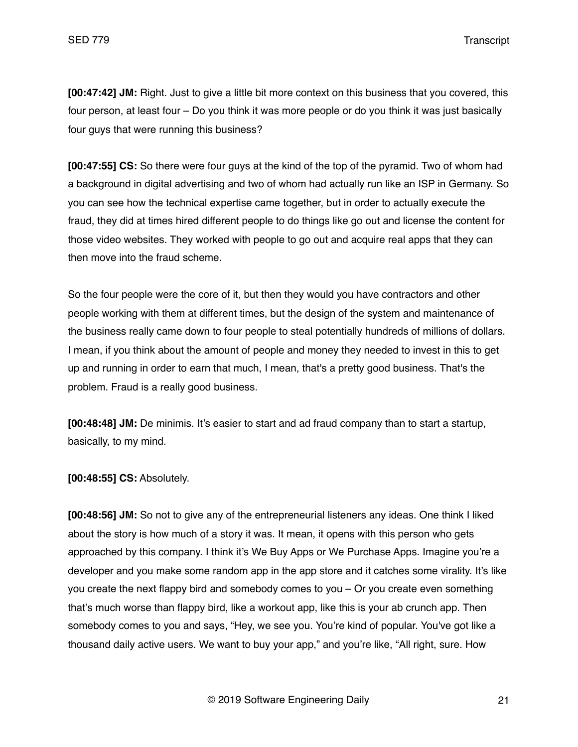**[00:47:42] JM:** Right. Just to give a little bit more context on this business that you covered, this four person, at least four – Do you think it was more people or do you think it was just basically four guys that were running this business?

**[00:47:55] CS:** So there were four guys at the kind of the top of the pyramid. Two of whom had a background in digital advertising and two of whom had actually run like an ISP in Germany. So you can see how the technical expertise came together, but in order to actually execute the fraud, they did at times hired different people to do things like go out and license the content for those video websites. They worked with people to go out and acquire real apps that they can then move into the fraud scheme.

So the four people were the core of it, but then they would you have contractors and other people working with them at different times, but the design of the system and maintenance of the business really came down to four people to steal potentially hundreds of millions of dollars. I mean, if you think about the amount of people and money they needed to invest in this to get up and running in order to earn that much, I mean, that's a pretty good business. That's the problem. Fraud is a really good business.

**[00:48:48] JM:** De minimis. It's easier to start and ad fraud company than to start a startup, basically, to my mind.

**[00:48:55] CS:** Absolutely.

**[00:48:56] JM:** So not to give any of the entrepreneurial listeners any ideas. One think I liked about the story is how much of a story it was. It mean, it opens with this person who gets approached by this company. I think it's We Buy Apps or We Purchase Apps. Imagine you're a developer and you make some random app in the app store and it catches some virality. It's like you create the next flappy bird and somebody comes to you – Or you create even something that's much worse than flappy bird, like a workout app, like this is your ab crunch app. Then somebody comes to you and says, "Hey, we see you. You're kind of popular. You've got like a thousand daily active users. We want to buy your app," and you're like, "All right, sure. How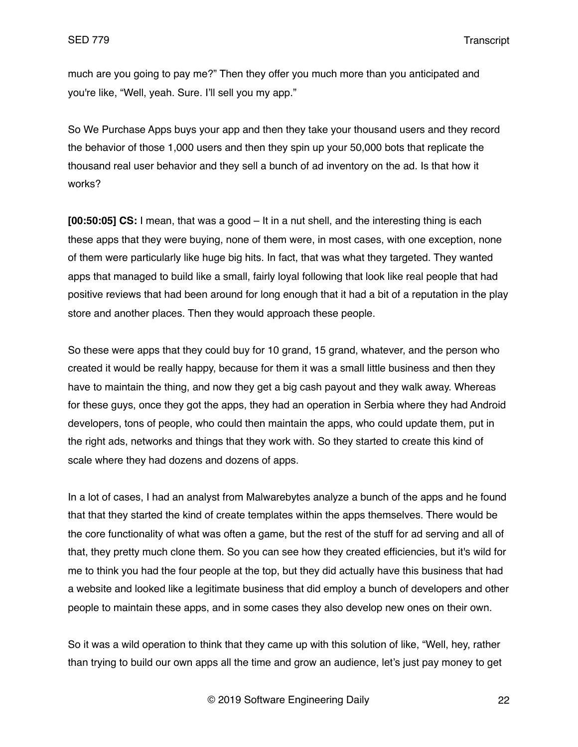much are you going to pay me?" Then they offer you much more than you anticipated and you're like, "Well, yeah. Sure. I'll sell you my app."

So We Purchase Apps buys your app and then they take your thousand users and they record the behavior of those 1,000 users and then they spin up your 50,000 bots that replicate the thousand real user behavior and they sell a bunch of ad inventory on the ad. Is that how it works?

**[00:50:05] CS:** I mean, that was a good – It in a nut shell, and the interesting thing is each these apps that they were buying, none of them were, in most cases, with one exception, none of them were particularly like huge big hits. In fact, that was what they targeted. They wanted apps that managed to build like a small, fairly loyal following that look like real people that had positive reviews that had been around for long enough that it had a bit of a reputation in the play store and another places. Then they would approach these people.

So these were apps that they could buy for 10 grand, 15 grand, whatever, and the person who created it would be really happy, because for them it was a small little business and then they have to maintain the thing, and now they get a big cash payout and they walk away. Whereas for these guys, once they got the apps, they had an operation in Serbia where they had Android developers, tons of people, who could then maintain the apps, who could update them, put in the right ads, networks and things that they work with. So they started to create this kind of scale where they had dozens and dozens of apps.

In a lot of cases, I had an analyst from Malwarebytes analyze a bunch of the apps and he found that that they started the kind of create templates within the apps themselves. There would be the core functionality of what was often a game, but the rest of the stuff for ad serving and all of that, they pretty much clone them. So you can see how they created efficiencies, but it's wild for me to think you had the four people at the top, but they did actually have this business that had a website and looked like a legitimate business that did employ a bunch of developers and other people to maintain these apps, and in some cases they also develop new ones on their own.

So it was a wild operation to think that they came up with this solution of like, "Well, hey, rather than trying to build our own apps all the time and grow an audience, let's just pay money to get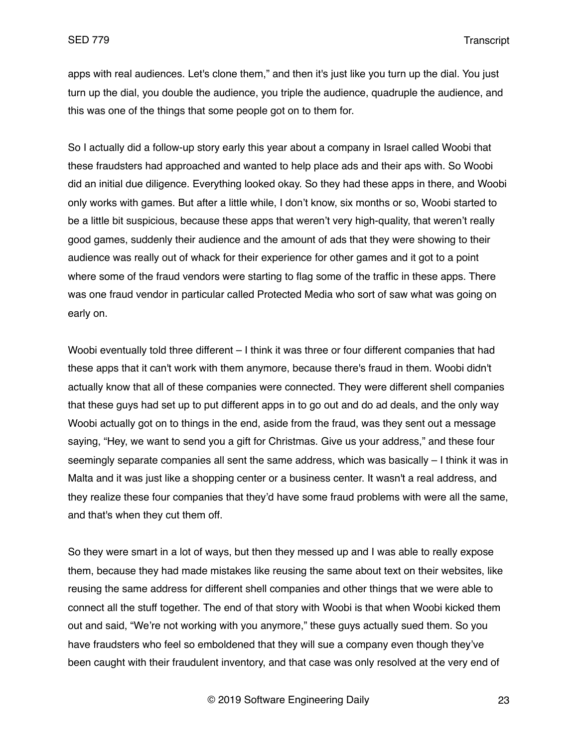apps with real audiences. Let's clone them," and then it's just like you turn up the dial. You just turn up the dial, you double the audience, you triple the audience, quadruple the audience, and this was one of the things that some people got on to them for.

So I actually did a follow-up story early this year about a company in Israel called Woobi that these fraudsters had approached and wanted to help place ads and their aps with. So Woobi did an initial due diligence. Everything looked okay. So they had these apps in there, and Woobi only works with games. But after a little while, I don't know, six months or so, Woobi started to be a little bit suspicious, because these apps that weren't very high-quality, that weren't really good games, suddenly their audience and the amount of ads that they were showing to their audience was really out of whack for their experience for other games and it got to a point where some of the fraud vendors were starting to flag some of the traffic in these apps. There was one fraud vendor in particular called Protected Media who sort of saw what was going on early on.

Woobi eventually told three different – I think it was three or four different companies that had these apps that it can't work with them anymore, because there's fraud in them. Woobi didn't actually know that all of these companies were connected. They were different shell companies that these guys had set up to put different apps in to go out and do ad deals, and the only way Woobi actually got on to things in the end, aside from the fraud, was they sent out a message saying, "Hey, we want to send you a gift for Christmas. Give us your address," and these four seemingly separate companies all sent the same address, which was basically – I think it was in Malta and it was just like a shopping center or a business center. It wasn't a real address, and they realize these four companies that they'd have some fraud problems with were all the same, and that's when they cut them off.

So they were smart in a lot of ways, but then they messed up and I was able to really expose them, because they had made mistakes like reusing the same about text on their websites, like reusing the same address for different shell companies and other things that we were able to connect all the stuff together. The end of that story with Woobi is that when Woobi kicked them out and said, "We're not working with you anymore," these guys actually sued them. So you have fraudsters who feel so emboldened that they will sue a company even though they've been caught with their fraudulent inventory, and that case was only resolved at the very end of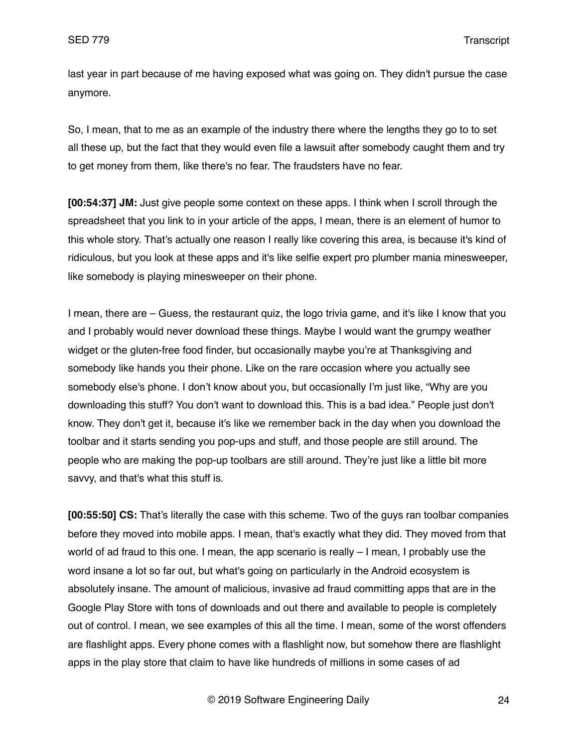last year in part because of me having exposed what was going on. They didn't pursue the case anymore.

So, I mean, that to me as an example of the industry there where the lengths they go to to set all these up, but the fact that they would even file a lawsuit after somebody caught them and try to get money from them, like there's no fear. The fraudsters have no fear.

**[00:54:37] JM:** Just give people some context on these apps. I think when I scroll through the spreadsheet that you link to in your article of the apps, I mean, there is an element of humor to this whole story. That's actually one reason I really like covering this area, is because it's kind of ridiculous, but you look at these apps and it's like selfie expert pro plumber mania minesweeper, like somebody is playing minesweeper on their phone.

I mean, there are – Guess, the restaurant quiz, the logo trivia game, and it's like I know that you and I probably would never download these things. Maybe I would want the grumpy weather widget or the gluten-free food finder, but occasionally maybe you're at Thanksgiving and somebody like hands you their phone. Like on the rare occasion where you actually see somebody else's phone. I don't know about you, but occasionally I'm just like, "Why are you downloading this stuff? You don't want to download this. This is a bad idea." People just don't know. They don't get it, because it's like we remember back in the day when you download the toolbar and it starts sending you pop-ups and stuff, and those people are still around. The people who are making the pop-up toolbars are still around. They're just like a little bit more savvy, and that's what this stuff is.

**[00:55:50] CS:** That's literally the case with this scheme. Two of the guys ran toolbar companies before they moved into mobile apps. I mean, that's exactly what they did. They moved from that world of ad fraud to this one. I mean, the app scenario is really – I mean, I probably use the word insane a lot so far out, but what's going on particularly in the Android ecosystem is absolutely insane. The amount of malicious, invasive ad fraud committing apps that are in the Google Play Store with tons of downloads and out there and available to people is completely out of control. I mean, we see examples of this all the time. I mean, some of the worst offenders are flashlight apps. Every phone comes with a flashlight now, but somehow there are flashlight apps in the play store that claim to have like hundreds of millions in some cases of ad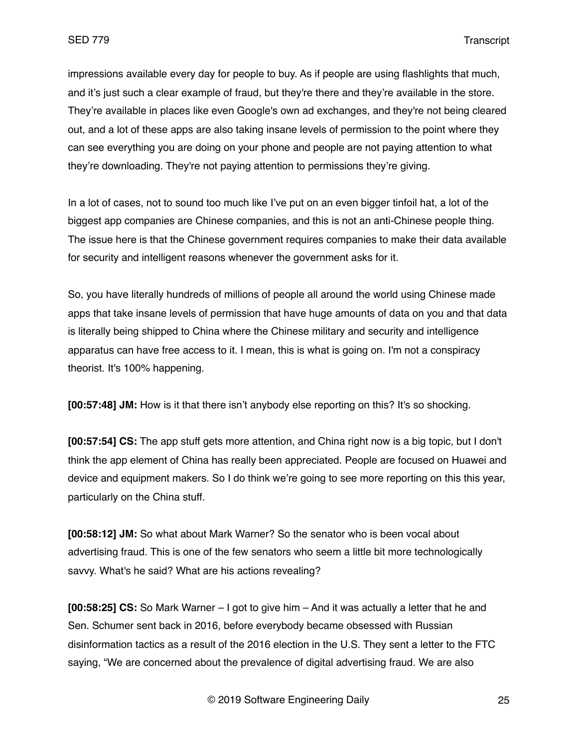impressions available every day for people to buy. As if people are using flashlights that much, and it's just such a clear example of fraud, but they're there and they're available in the store. They're available in places like even Google's own ad exchanges, and they're not being cleared out, and a lot of these apps are also taking insane levels of permission to the point where they can see everything you are doing on your phone and people are not paying attention to what they're downloading. They're not paying attention to permissions they're giving.

In a lot of cases, not to sound too much like I've put on an even bigger tinfoil hat, a lot of the biggest app companies are Chinese companies, and this is not an anti-Chinese people thing. The issue here is that the Chinese government requires companies to make their data available for security and intelligent reasons whenever the government asks for it.

So, you have literally hundreds of millions of people all around the world using Chinese made apps that take insane levels of permission that have huge amounts of data on you and that data is literally being shipped to China where the Chinese military and security and intelligence apparatus can have free access to it. I mean, this is what is going on. I'm not a conspiracy theorist. It's 100% happening.

**[00:57:48] JM:** How is it that there isn't anybody else reporting on this? It's so shocking.

**[00:57:54] CS:** The app stuff gets more attention, and China right now is a big topic, but I don't think the app element of China has really been appreciated. People are focused on Huawei and device and equipment makers. So I do think we're going to see more reporting on this this year, particularly on the China stuff.

**[00:58:12] JM:** So what about Mark Warner? So the senator who is been vocal about advertising fraud. This is one of the few senators who seem a little bit more technologically savvy. What's he said? What are his actions revealing?

**[00:58:25] CS:** So Mark Warner – I got to give him – And it was actually a letter that he and Sen. Schumer sent back in 2016, before everybody became obsessed with Russian disinformation tactics as a result of the 2016 election in the U.S. They sent a letter to the FTC saying, "We are concerned about the prevalence of digital advertising fraud. We are also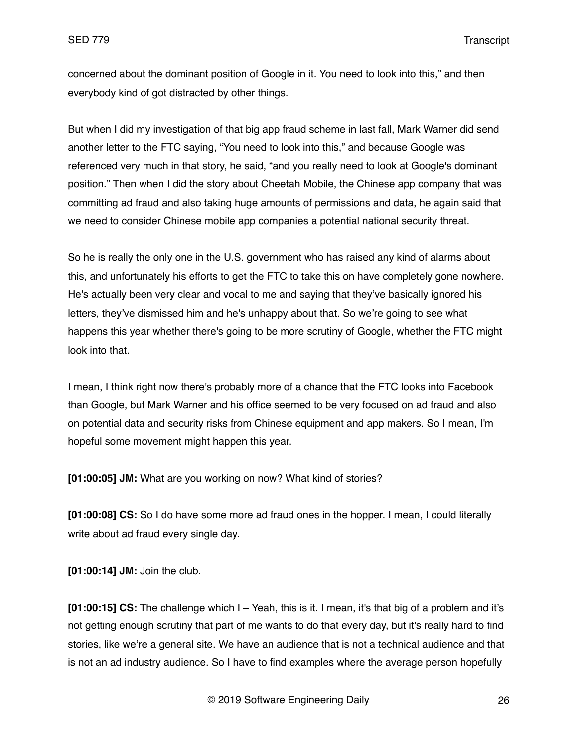concerned about the dominant position of Google in it. You need to look into this," and then everybody kind of got distracted by other things.

But when I did my investigation of that big app fraud scheme in last fall, Mark Warner did send another letter to the FTC saying, "You need to look into this," and because Google was referenced very much in that story, he said, "and you really need to look at Google's dominant position." Then when I did the story about Cheetah Mobile, the Chinese app company that was committing ad fraud and also taking huge amounts of permissions and data, he again said that we need to consider Chinese mobile app companies a potential national security threat.

So he is really the only one in the U.S. government who has raised any kind of alarms about this, and unfortunately his efforts to get the FTC to take this on have completely gone nowhere. He's actually been very clear and vocal to me and saying that they've basically ignored his letters, they've dismissed him and he's unhappy about that. So we're going to see what happens this year whether there's going to be more scrutiny of Google, whether the FTC might look into that.

I mean, I think right now there's probably more of a chance that the FTC looks into Facebook than Google, but Mark Warner and his office seemed to be very focused on ad fraud and also on potential data and security risks from Chinese equipment and app makers. So I mean, I'm hopeful some movement might happen this year.

**[01:00:05] JM:** What are you working on now? What kind of stories?

**[01:00:08] CS:** So I do have some more ad fraud ones in the hopper. I mean, I could literally write about ad fraud every single day.

**[01:00:14] JM:** Join the club.

**[01:00:15] CS:** The challenge which I – Yeah, this is it. I mean, it's that big of a problem and it's not getting enough scrutiny that part of me wants to do that every day, but it's really hard to find stories, like we're a general site. We have an audience that is not a technical audience and that is not an ad industry audience. So I have to find examples where the average person hopefully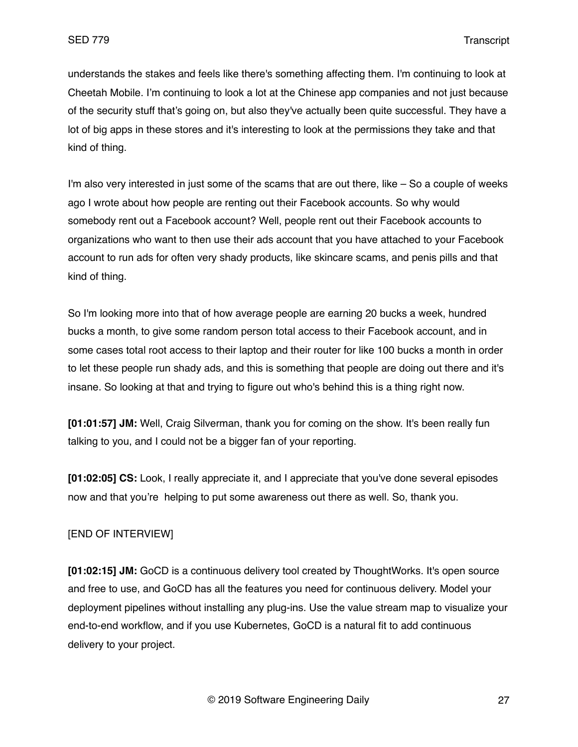understands the stakes and feels like there's something affecting them. I'm continuing to look at Cheetah Mobile. I'm continuing to look a lot at the Chinese app companies and not just because of the security stuff that's going on, but also they've actually been quite successful. They have a lot of big apps in these stores and it's interesting to look at the permissions they take and that kind of thing.

I'm also very interested in just some of the scams that are out there, like – So a couple of weeks ago I wrote about how people are renting out their Facebook accounts. So why would somebody rent out a Facebook account? Well, people rent out their Facebook accounts to organizations who want to then use their ads account that you have attached to your Facebook account to run ads for often very shady products, like skincare scams, and penis pills and that kind of thing.

So I'm looking more into that of how average people are earning 20 bucks a week, hundred bucks a month, to give some random person total access to their Facebook account, and in some cases total root access to their laptop and their router for like 100 bucks a month in order to let these people run shady ads, and this is something that people are doing out there and it's insane. So looking at that and trying to figure out who's behind this is a thing right now.

**[01:01:57] JM:** Well, Craig Silverman, thank you for coming on the show. It's been really fun talking to you, and I could not be a bigger fan of your reporting.

**[01:02:05] CS:** Look, I really appreciate it, and I appreciate that you've done several episodes now and that you're helping to put some awareness out there as well. So, thank you.

# [END OF INTERVIEW]

**[01:02:15] JM:** GoCD is a continuous delivery tool created by ThoughtWorks. It's open source and free to use, and GoCD has all the features you need for continuous delivery. Model your deployment pipelines without installing any plug-ins. Use the value stream map to visualize your end-to-end workflow, and if you use Kubernetes, GoCD is a natural fit to add continuous delivery to your project.